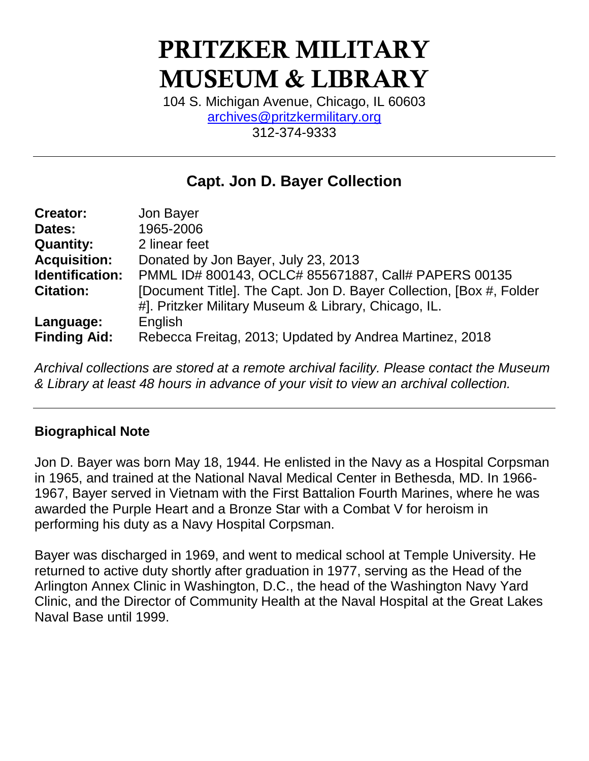# **PRITZKER MILITARY MUSEUM & LIBRARY**

104 S. Michigan Avenue, Chicago, IL 60603 [archives@pritzkermilitary.org](mailto:archives@pritzkermilitary.org) 312-374-9333

# **Capt. Jon D. Bayer Collection**

| <b>Creator:</b>     | Jon Bayer                                                            |
|---------------------|----------------------------------------------------------------------|
| Dates:              | 1965-2006                                                            |
| <b>Quantity:</b>    | 2 linear feet                                                        |
| <b>Acquisition:</b> | Donated by Jon Bayer, July 23, 2013                                  |
| Identification:     | PMML ID# 800143, OCLC# 855671887, Call# PAPERS 00135                 |
| <b>Citation:</b>    | [Document Title]. The Capt. Jon D. Bayer Collection, [Box #, Folder] |
|                     | #]. Pritzker Military Museum & Library, Chicago, IL.                 |
| Language:           | English                                                              |
| <b>Finding Aid:</b> | Rebecca Freitag, 2013; Updated by Andrea Martinez, 2018              |

*Archival collections are stored at a remote archival facility. Please contact the Museum & Library at least 48 hours in advance of your visit to view an archival collection.*

## **Biographical Note**

Jon D. Bayer was born May 18, 1944. He enlisted in the Navy as a Hospital Corpsman in 1965, and trained at the National Naval Medical Center in Bethesda, MD. In 1966- 1967, Bayer served in Vietnam with the First Battalion Fourth Marines, where he was awarded the Purple Heart and a Bronze Star with a Combat V for heroism in performing his duty as a Navy Hospital Corpsman.

Bayer was discharged in 1969, and went to medical school at Temple University. He returned to active duty shortly after graduation in 1977, serving as the Head of the Arlington Annex Clinic in Washington, D.C., the head of the Washington Navy Yard Clinic, and the Director of Community Health at the Naval Hospital at the Great Lakes Naval Base until 1999.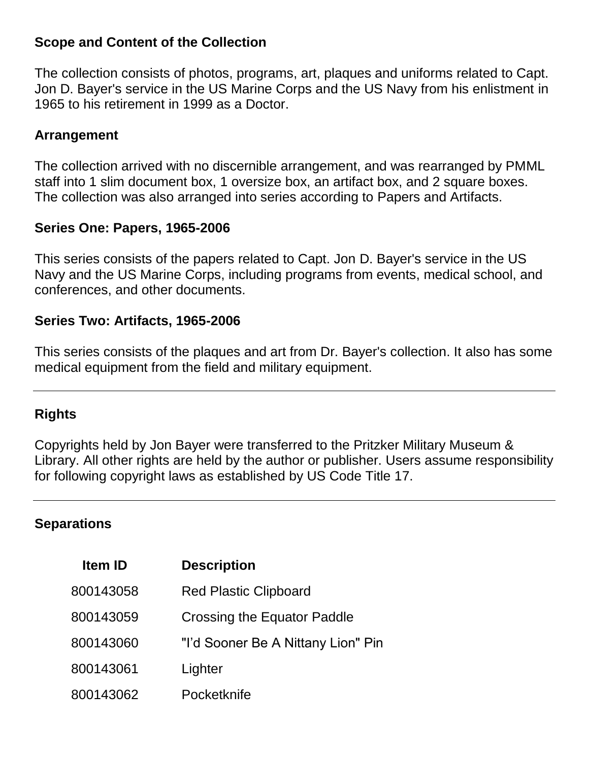## **Scope and Content of the Collection**

The collection consists of photos, programs, art, plaques and uniforms related to Capt. Jon D. Bayer's service in the US Marine Corps and the US Navy from his enlistment in 1965 to his retirement in 1999 as a Doctor.

## **Arrangement**

The collection arrived with no discernible arrangement, and was rearranged by PMML staff into 1 slim document box, 1 oversize box, an artifact box, and 2 square boxes. The collection was also arranged into series according to Papers and Artifacts.

#### **Series One: Papers, 1965-2006**

This series consists of the papers related to Capt. Jon D. Bayer's service in the US Navy and the US Marine Corps, including programs from events, medical school, and conferences, and other documents.

#### **Series Two: Artifacts, 1965-2006**

This series consists of the plaques and art from Dr. Bayer's collection. It also has some medical equipment from the field and military equipment.

## **Rights**

Copyrights held by Jon Bayer were transferred to the Pritzker Military Museum & Library. All other rights are held by the author or publisher. Users assume responsibility for following copyright laws as established by US Code Title 17.

#### **Separations**

| <b>Item ID</b> | <b>Description</b>                 |
|----------------|------------------------------------|
| 800143058      | <b>Red Plastic Clipboard</b>       |
| 800143059      | <b>Crossing the Equator Paddle</b> |
| 800143060      | "I'd Sooner Be A Nittany Lion" Pin |
| 800143061      | Lighter                            |
| 800143062      | Pocketknife                        |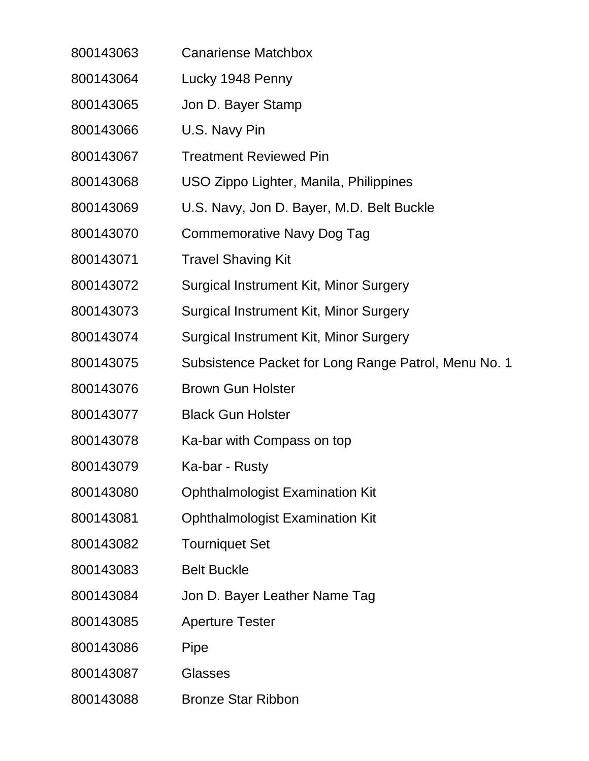- Canariense Matchbox
- Lucky 1948 Penny
- Jon D. Bayer Stamp
- U.S. Navy Pin
- Treatment Reviewed Pin
- USO Zippo Lighter, Manila, Philippines
- U.S. Navy, Jon D. Bayer, M.D. Belt Buckle
- Commemorative Navy Dog Tag
- Travel Shaving Kit
- Surgical Instrument Kit, Minor Surgery
- Surgical Instrument Kit, Minor Surgery
- Surgical Instrument Kit, Minor Surgery
- Subsistence Packet for Long Range Patrol, Menu No. 1
- Brown Gun Holster
- Black Gun Holster
- Ka-bar with Compass on top
- Ka-bar Rusty
- Ophthalmologist Examination Kit
- Ophthalmologist Examination Kit
- Tourniquet Set
- Belt Buckle
- Jon D. Bayer Leather Name Tag
- Aperture Tester
- Pipe
- Glasses
- Bronze Star Ribbon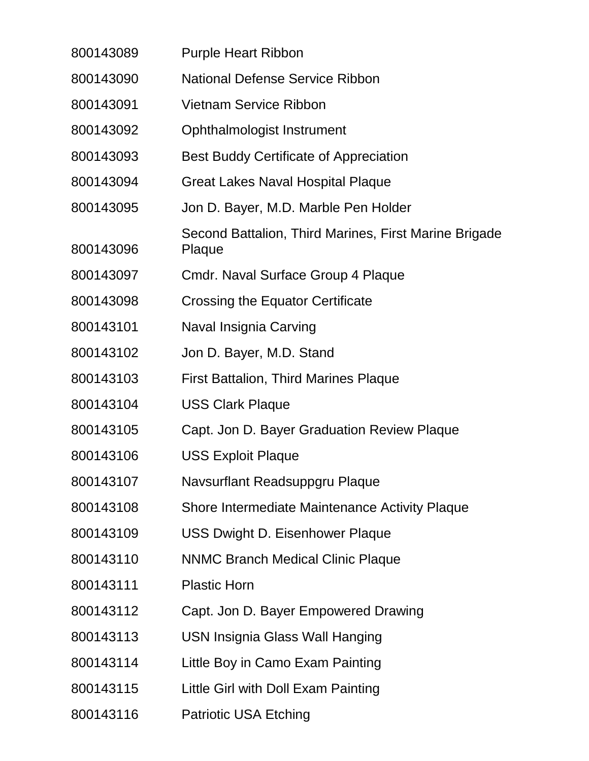| 800143089 | <b>Purple Heart Ribbon</b>                                      |
|-----------|-----------------------------------------------------------------|
| 800143090 | <b>National Defense Service Ribbon</b>                          |
| 800143091 | <b>Vietnam Service Ribbon</b>                                   |
| 800143092 | Ophthalmologist Instrument                                      |
| 800143093 | <b>Best Buddy Certificate of Appreciation</b>                   |
| 800143094 | <b>Great Lakes Naval Hospital Plaque</b>                        |
| 800143095 | Jon D. Bayer, M.D. Marble Pen Holder                            |
| 800143096 | Second Battalion, Third Marines, First Marine Brigade<br>Plaque |
| 800143097 | <b>Cmdr. Naval Surface Group 4 Plaque</b>                       |
| 800143098 | <b>Crossing the Equator Certificate</b>                         |
| 800143101 | Naval Insignia Carving                                          |
| 800143102 | Jon D. Bayer, M.D. Stand                                        |
| 800143103 | <b>First Battalion, Third Marines Plaque</b>                    |
| 800143104 | <b>USS Clark Plaque</b>                                         |
| 800143105 | Capt. Jon D. Bayer Graduation Review Plaque                     |
| 800143106 | <b>USS Exploit Plaque</b>                                       |
| 800143107 | Navsurflant Readsuppgru Plaque                                  |
| 800143108 | Shore Intermediate Maintenance Activity Plaque                  |
| 800143109 | <b>USS Dwight D. Eisenhower Plaque</b>                          |
| 800143110 | <b>NNMC Branch Medical Clinic Plaque</b>                        |
| 800143111 | <b>Plastic Horn</b>                                             |
| 800143112 | Capt. Jon D. Bayer Empowered Drawing                            |
| 800143113 | USN Insignia Glass Wall Hanging                                 |
| 800143114 | Little Boy in Camo Exam Painting                                |
| 800143115 | Little Girl with Doll Exam Painting                             |
| 800143116 | <b>Patriotic USA Etching</b>                                    |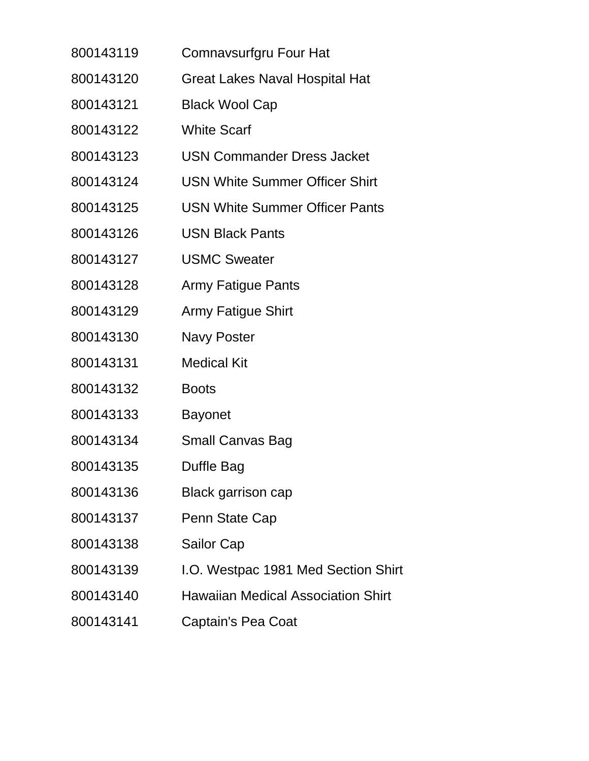- Comnavsurfgru Four Hat
- Great Lakes Naval Hospital Hat
- Black Wool Cap
- White Scarf
- USN Commander Dress Jacket
- USN White Summer Officer Shirt
- USN White Summer Officer Pants
- USN Black Pants
- USMC Sweater
- Army Fatigue Pants
- Army Fatigue Shirt
- Navy Poster
- Medical Kit
- Boots
- Bayonet
- Small Canvas Bag
- Duffle Bag
- Black garrison cap
- Penn State Cap
- Sailor Cap
- I.O. Westpac 1981 Med Section Shirt
- Hawaiian Medical Association Shirt
- Captain's Pea Coat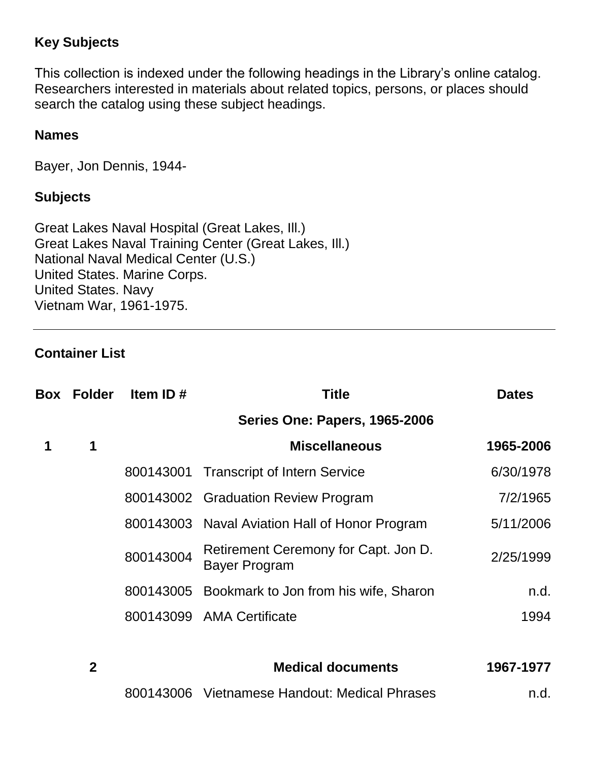## **Key Subjects**

This collection is indexed under the following headings in the Library's online catalog. Researchers interested in materials about related topics, persons, or places should search the catalog using these subject headings.

#### **Names**

Bayer, Jon Dennis, 1944-

## **Subjects**

Great Lakes Naval Hospital (Great Lakes, Ill.) Great Lakes Naval Training Center (Great Lakes, Ill.) National Naval Medical Center (U.S.) United States. Marine Corps. United States. Navy Vietnam War, 1961-1975.

## **Container List**

|   | Box Folder   | Item ID#  | <b>Title</b>                                                 | <b>Dates</b> |
|---|--------------|-----------|--------------------------------------------------------------|--------------|
|   |              |           | <b>Series One: Papers, 1965-2006</b>                         |              |
| 1 | 1            |           | <b>Miscellaneous</b>                                         | 1965-2006    |
|   |              |           | 800143001 Transcript of Intern Service                       | 6/30/1978    |
|   |              |           | 800143002 Graduation Review Program                          | 7/2/1965     |
|   |              |           | 800143003 Naval Aviation Hall of Honor Program               | 5/11/2006    |
|   |              | 800143004 | Retirement Ceremony for Capt. Jon D.<br><b>Bayer Program</b> | 2/25/1999    |
|   |              |           | 800143005 Bookmark to Jon from his wife, Sharon              | n.d.         |
|   |              |           | 800143099 AMA Certificate                                    | 1994         |
|   | $\mathbf{2}$ |           | <b>Medical documents</b>                                     | 1967-1977    |
|   |              |           | 800143006 Vietnamese Handout: Medical Phrases                | n.d.         |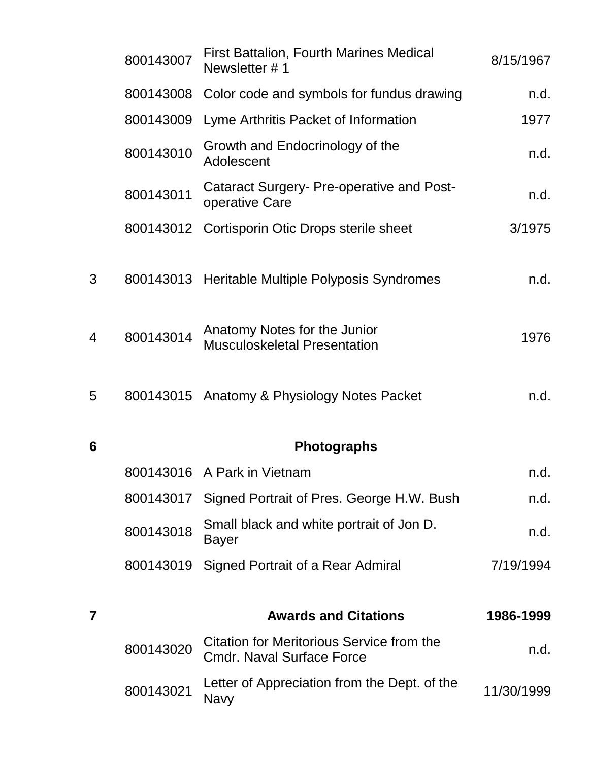|   | 800143007 | <b>First Battalion, Fourth Marines Medical</b><br>Newsletter #1               | 8/15/1967  |
|---|-----------|-------------------------------------------------------------------------------|------------|
|   | 800143008 | Color code and symbols for fundus drawing                                     | n.d.       |
|   | 800143009 | Lyme Arthritis Packet of Information                                          | 1977       |
|   | 800143010 | Growth and Endocrinology of the<br>Adolescent                                 | n.d.       |
|   | 800143011 | <b>Cataract Surgery- Pre-operative and Post-</b><br>operative Care            | n.d.       |
|   | 800143012 | Cortisporin Otic Drops sterile sheet                                          | 3/1975     |
|   |           |                                                                               |            |
| 3 |           | 800143013 Heritable Multiple Polyposis Syndromes                              | n.d.       |
|   |           |                                                                               |            |
| 4 | 800143014 | Anatomy Notes for the Junior                                                  | 1976       |
|   |           | <b>Musculoskeletal Presentation</b>                                           |            |
| 5 |           | 800143015 Anatomy & Physiology Notes Packet                                   | n.d.       |
| 6 |           | <b>Photographs</b>                                                            |            |
|   |           | 800143016 A Park in Vietnam                                                   | n.d.       |
|   |           | 800143017 Signed Portrait of Pres. George H.W. Bush                           | n.d.       |
|   | 800143018 | Small black and white portrait of Jon D.<br><b>Bayer</b>                      | n.d.       |
|   | 800143019 | Signed Portrait of a Rear Admiral                                             | 7/19/1994  |
| 7 |           | <b>Awards and Citations</b>                                                   | 1986-1999  |
|   | 800143020 | Citation for Meritorious Service from the<br><b>Cmdr. Naval Surface Force</b> | n.d.       |
|   | 800143021 | Letter of Appreciation from the Dept. of the<br><b>Navy</b>                   | 11/30/1999 |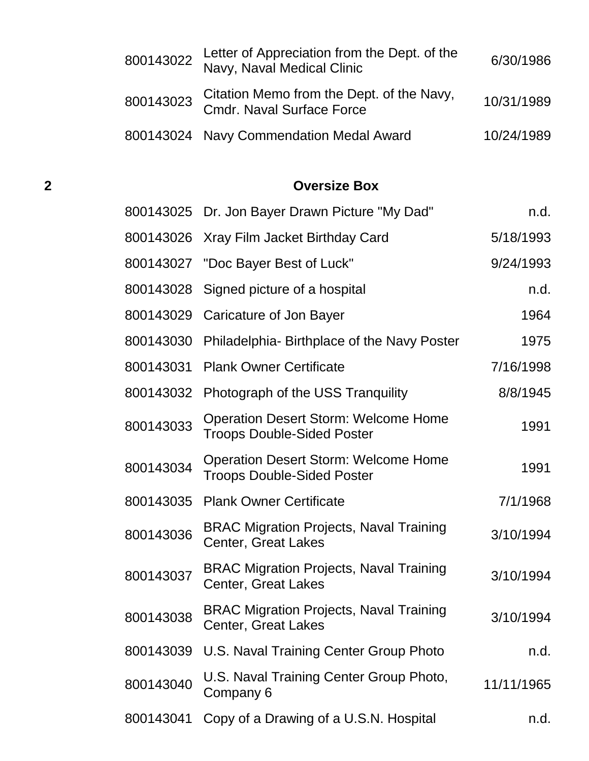|           | 800143022 Letter of Appreciation from the Dept. of the<br>Navy, Naval Medical Clinic | 6/30/1986  |
|-----------|--------------------------------------------------------------------------------------|------------|
| 800143023 | Citation Memo from the Dept. of the Navy,<br><b>Cmdr. Naval Surface Force</b>        | 10/31/1989 |
|           | 800143024 Navy Commendation Medal Award                                              | 10/24/1989 |

## **2 Oversize Box**

|           | 800143025 Dr. Jon Bayer Drawn Picture "My Dad"                                   | n.d.       |
|-----------|----------------------------------------------------------------------------------|------------|
|           | 800143026 Xray Film Jacket Birthday Card                                         | 5/18/1993  |
|           | 800143027 "Doc Bayer Best of Luck"                                               | 9/24/1993  |
|           | 800143028 Signed picture of a hospital                                           | n.d.       |
|           | 800143029 Caricature of Jon Bayer                                                | 1964       |
| 800143030 | Philadelphia-Birthplace of the Navy Poster                                       | 1975       |
| 800143031 | <b>Plank Owner Certificate</b>                                                   | 7/16/1998  |
| 800143032 | Photograph of the USS Tranquility                                                | 8/8/1945   |
| 800143033 | <b>Operation Desert Storm: Welcome Home</b><br><b>Troops Double-Sided Poster</b> | 1991       |
| 800143034 | <b>Operation Desert Storm: Welcome Home</b><br><b>Troops Double-Sided Poster</b> | 1991       |
| 800143035 | <b>Plank Owner Certificate</b>                                                   | 7/1/1968   |
| 800143036 | <b>BRAC Migration Projects, Naval Training</b><br><b>Center, Great Lakes</b>     | 3/10/1994  |
| 800143037 | <b>BRAC Migration Projects, Naval Training</b><br><b>Center, Great Lakes</b>     | 3/10/1994  |
| 800143038 | <b>BRAC Migration Projects, Naval Training</b><br><b>Center, Great Lakes</b>     | 3/10/1994  |
| 800143039 | U.S. Naval Training Center Group Photo                                           | n.d.       |
| 800143040 | U.S. Naval Training Center Group Photo,<br>Company 6                             | 11/11/1965 |
| 800143041 | Copy of a Drawing of a U.S.N. Hospital                                           | n.d.       |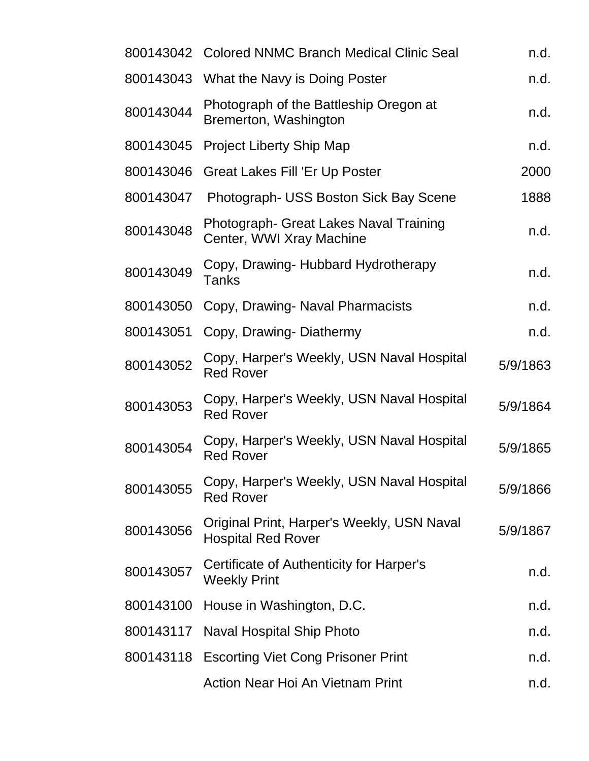|           | 800143042 Colored NNMC Branch Medical Clinic Seal                       | n.d.     |
|-----------|-------------------------------------------------------------------------|----------|
|           | 800143043 What the Navy is Doing Poster                                 | n.d.     |
| 800143044 | Photograph of the Battleship Oregon at<br>Bremerton, Washington         | n.d.     |
| 800143045 | <b>Project Liberty Ship Map</b>                                         | n.d.     |
| 800143046 | Great Lakes Fill 'Er Up Poster                                          | 2000     |
| 800143047 | Photograph- USS Boston Sick Bay Scene                                   | 1888     |
| 800143048 | Photograph- Great Lakes Naval Training<br>Center, WWI Xray Machine      | n.d.     |
| 800143049 | Copy, Drawing-Hubbard Hydrotherapy<br>Tanks                             | n.d.     |
| 800143050 | Copy, Drawing- Naval Pharmacists                                        | n.d.     |
| 800143051 | Copy, Drawing-Diathermy                                                 | n.d.     |
| 800143052 | Copy, Harper's Weekly, USN Naval Hospital<br><b>Red Rover</b>           | 5/9/1863 |
| 800143053 | Copy, Harper's Weekly, USN Naval Hospital<br><b>Red Rover</b>           | 5/9/1864 |
| 800143054 | Copy, Harper's Weekly, USN Naval Hospital<br><b>Red Rover</b>           | 5/9/1865 |
| 800143055 | Copy, Harper's Weekly, USN Naval Hospital<br><b>Red Rover</b>           | 5/9/1866 |
| 800143056 | Original Print, Harper's Weekly, USN Naval<br><b>Hospital Red Rover</b> | 5/9/1867 |
| 800143057 | Certificate of Authenticity for Harper's<br><b>Weekly Print</b>         | n.d.     |
| 800143100 | House in Washington, D.C.                                               | n.d.     |
| 800143117 | Naval Hospital Ship Photo                                               | n.d.     |
| 800143118 | <b>Escorting Viet Cong Prisoner Print</b>                               | n.d.     |
|           | Action Near Hoi An Vietnam Print                                        | n.d.     |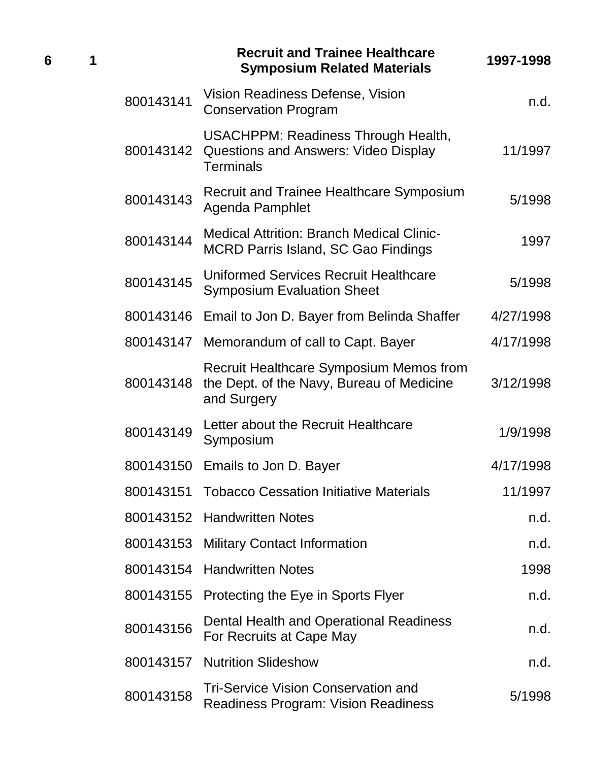|           | <b>Recruit and Trainee Healthcare</b><br><b>Symposium Related Materials</b>                                   | 1997-1998 |
|-----------|---------------------------------------------------------------------------------------------------------------|-----------|
| 800143141 | Vision Readiness Defense, Vision<br><b>Conservation Program</b>                                               | n.d.      |
| 800143142 | <b>USACHPPM: Readiness Through Health,</b><br><b>Questions and Answers: Video Display</b><br><b>Terminals</b> | 11/1997   |
| 800143143 | <b>Recruit and Trainee Healthcare Symposium</b><br>Agenda Pamphlet                                            | 5/1998    |
| 800143144 | <b>Medical Attrition: Branch Medical Clinic-</b><br><b>MCRD Parris Island, SC Gao Findings</b>                | 1997      |
| 800143145 | Uniformed Services Recruit Healthcare<br><b>Symposium Evaluation Sheet</b>                                    | 5/1998    |
| 800143146 | Email to Jon D. Bayer from Belinda Shaffer                                                                    | 4/27/1998 |
|           | 800143147 Memorandum of call to Capt. Bayer                                                                   | 4/17/1998 |
| 800143148 | <b>Recruit Healthcare Symposium Memos from</b><br>the Dept. of the Navy, Bureau of Medicine<br>and Surgery    | 3/12/1998 |
| 800143149 | Letter about the Recruit Healthcare<br>Symposium                                                              | 1/9/1998  |
| 800143150 | Emails to Jon D. Bayer                                                                                        | 4/17/1998 |
|           | 800143151 Tobacco Cessation Initiative Materials                                                              | 11/1997   |
|           | 800143152 Handwritten Notes                                                                                   | n.d.      |
|           | 800143153 Military Contact Information                                                                        | n.d.      |
| 800143154 | <b>Handwritten Notes</b>                                                                                      | 1998      |
| 800143155 | <b>Protecting the Eye in Sports Flyer</b>                                                                     | n.d.      |
| 800143156 | Dental Health and Operational Readiness<br>For Recruits at Cape May                                           | n.d.      |
| 800143157 | <b>Nutrition Slideshow</b>                                                                                    | n.d.      |
| 800143158 | <b>Tri-Service Vision Conservation and</b><br><b>Readiness Program: Vision Readiness</b>                      | 5/1998    |

**6 1**